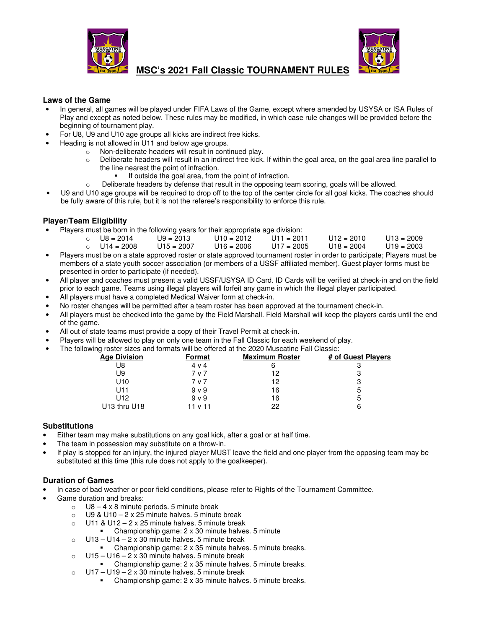

 **MSC's 2021 Fall Classic TOURNAMENT RULES**

# **Laws of the Game**

- In general, all games will be played under FIFA Laws of the Game, except where amended by USYSA or ISA Rules of Play and except as noted below. These rules may be modified, in which case rule changes will be provided before the beginning of tournament play.
- For U8, U9 and U10 age groups all kicks are indirect free kicks.
- Heading is not allowed in U11 and below age groups.
	- o Non-deliberate headers will result in continued play.
		- $\circ$  Deliberate headers will result in an indirect free kick. If within the goal area, on the goal area line parallel to the line nearest the point of infraction.
			- If outside the goal area, from the point of infraction.
		- $\circ$  Deliberate headers by defense that result in the opposing team scoring, goals will be allowed.
- U9 and U10 age groups will be required to drop off to the top of the center circle for all goal kicks. The coaches should be fully aware of this rule, but it is not the referee's responsibility to enforce this rule.

# **Player/Team Eligibility**

• Players must be born in the following years for their appropriate age division:

| $\circ$ U8 = 2014             | $U9 = 2013$ |            | $U10 = 2012$ $U11 = 2011$ $U12 = 2010$ $U13 = 2009$ |                                        |  |
|-------------------------------|-------------|------------|-----------------------------------------------------|----------------------------------------|--|
| $\circ$ U14 = 2008 U15 = 2007 |             | U16 = 2006 |                                                     | $U17 = 2005$ $U18 = 2004$ $U19 = 2003$ |  |

- Players must be on a state approved roster or state approved tournament roster in order to participate; Players must be members of a state youth soccer association (or members of a USSF affiliated member). Guest player forms must be presented in order to participate (if needed).
- All player and coaches must present a valid USSF/USYSA ID Card. ID Cards will be verified at check-in and on the field prior to each game. Teams using illegal players will forfeit any game in which the illegal player participated.
- All players must have a completed Medical Waiver form at check-in.
- No roster changes will be permitted after a team roster has been approved at the tournament check-in.
- All players must be checked into the game by the Field Marshall. Field Marshall will keep the players cards until the end of the game.
- All out of state teams must provide a copy of their Travel Permit at check-in.
- Players will be allowed to play on only one team in the Fall Classic for each weekend of play.
- The following roster sizes and formats will be offered at the 2020 Muscatine Fall Classic:

| <b>Age Division</b> | Format         | <b>Maximum Roster</b> | # of Guest Players |
|---------------------|----------------|-----------------------|--------------------|
| J8                  | $4 \vee 4$     | ь                     | 3                  |
| U9                  | 7 v 7          | 12                    | 3                  |
| U10                 | 7 v 7          | 12                    | 3                  |
| U11                 | 9 <sub>V</sub> | 16                    | 5                  |
| U12                 | 9 <sub>V</sub> | 16                    | 5                  |
| U13 thru U18        | 11 v 11        | 22                    | 6                  |

### **Substitutions**

- Either team may make substitutions on any goal kick, after a goal or at half time.
- The team in possession may substitute on a throw-in.
- If play is stopped for an injury, the injured player MUST leave the field and one player from the opposing team may be substituted at this time (this rule does not apply to the goalkeeper).

# **Duration of Games**

- In case of bad weather or poor field conditions, please refer to Rights of the Tournament Committee.
- Game duration and breaks:
	- $\circ$  U8 4 x 8 minute periods. 5 minute break
	- $\circ$  U9 & U10 2 x 25 minute halves. 5 minute break
	- $\circ$  U11 & U12 2 x 25 minute halves. 5 minute break
		- Championship game: 2 x 30 minute halves. 5 minute
	- $\circ$  U13 U14 2 x 30 minute halves. 5 minute break
		- Championship game: 2 x 35 minute halves. 5 minute breaks.
	- $\circ$  U15 U16 2 x 30 minute halves. 5 minute break
		- Championship game: 2 x 35 minute halves. 5 minute breaks.
	- $O$  U17 U19 2 x 30 minute halves. 5 minute break
		- Championship game: 2 x 35 minute halves. 5 minute breaks.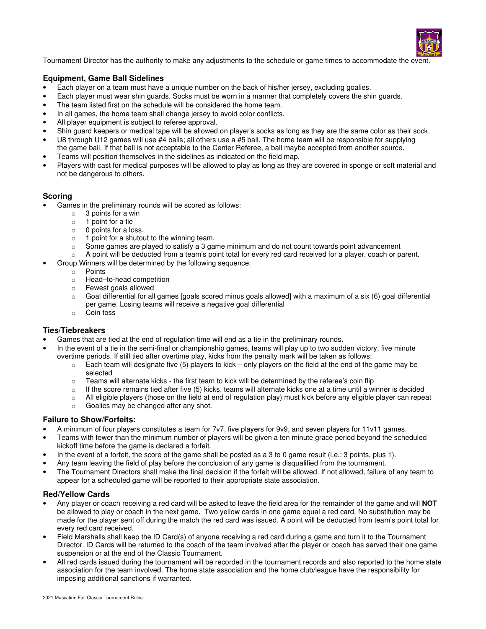

Tournament Director has the authority to make any adjustments to the schedule or game times to accommodate the event.

### **Equipment, Game Ball Sidelines**

- Each player on a team must have a unique number on the back of his/her jersey, excluding goalies.
- Each player must wear shin guards. Socks must be worn in a manner that completely covers the shin guards.
- The team listed first on the schedule will be considered the home team.
- In all games, the home team shall change jersey to avoid color conflicts.
- All player equipment is subject to referee approval.
- Shin guard keepers or medical tape will be allowed on player's socks as long as they are the same color as their sock.
- U8 through U12 games will use #4 balls; all others use a #5 ball. The home team will be responsible for supplying the game ball. If that ball is not acceptable to the Center Referee, a ball maybe accepted from another source.
- Teams will position themselves in the sidelines as indicated on the field map.
- Players with cast for medical purposes will be allowed to play as long as they are covered in sponge or soft material and not be dangerous to others.

#### **Scoring**

- Games in the preliminary rounds will be scored as follows:
	- o 3 points for a win
	- o 1 point for a tie
	- o 0 points for a loss.
	- $\circ$  1 point for a shutout to the winning team.
	- $\circ$  Some games are played to satisfy a 3 game minimum and do not count towards point advancement
	- $\circ$  A point will be deducted from a team's point total for every red card received for a player, coach or parent.
	- Group Winners will be determined by the following sequence:
		- o Points
			- o Head–to-head competition
			- o Fewest goals allowed
			- $\circ$  Goal differential for all games [goals scored minus goals allowed] with a maximum of a six (6) goal differential per game. Losing teams will receive a negative goal differential
			- o Coin toss

#### **Ties/Tiebreakers**

- Games that are tied at the end of regulation time will end as a tie in the preliminary rounds.
- In the event of a tie in the semi-final or championship games, teams will play up to two sudden victory, five minute overtime periods. If still tied after overtime play, kicks from the penalty mark will be taken as follows:
	- $\circ$  Each team will designate five (5) players to kick only players on the field at the end of the game may be selected
	- $\circ$  Teams will alternate kicks the first team to kick will be determined by the referee's coin flip
	- $\circ$  If the score remains tied after five (5) kicks, teams will alternate kicks one at a time until a winner is decided
	- o All eligible players (those on the field at end of regulation play) must kick before any eligible player can repeat
	- o Goalies may be changed after any shot.

#### **Failure to Show/Forfeits:**

- A minimum of four players constitutes a team for 7v7, five players for 9v9, and seven players for 11v11 games.
- Teams with fewer than the minimum number of players will be given a ten minute grace period beyond the scheduled kickoff time before the game is declared a forfeit.
- In the event of a forfeit, the score of the game shall be posted as a 3 to 0 game result (i.e.: 3 points, plus 1).
- Any team leaving the field of play before the conclusion of any game is disqualified from the tournament.
- The Tournament Directors shall make the final decision if the forfeit will be allowed. If not allowed, failure of any team to appear for a scheduled game will be reported to their appropriate state association.

#### **Red/Yellow Cards**

- Any player or coach receiving a red card will be asked to leave the field area for the remainder of the game and will **NOT** be allowed to play or coach in the next game. Two yellow cards in one game equal a red card. No substitution may be made for the player sent off during the match the red card was issued. A point will be deducted from team's point total for every red card received.
- Field Marshalls shall keep the ID Card(s) of anyone receiving a red card during a game and turn it to the Tournament Director. ID Cards will be returned to the coach of the team involved after the player or coach has served their one game suspension or at the end of the Classic Tournament.
- All red cards issued during the tournament will be recorded in the tournament records and also reported to the home state association for the team involved. The home state association and the home club/league have the responsibility for imposing additional sanctions if warranted.